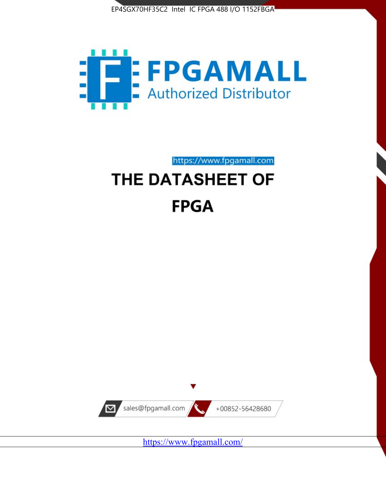



https://www.fpgamall.com

# THE DATASHEET OF **FPGA**



<https://www.fpgamall.com/>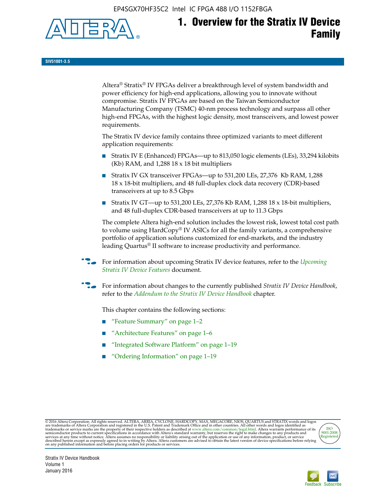EP4SGX70HF35C2 Intel IC FPGA 488 I/O 1152FBGA



**SIV51001-3.5**

Altera® Stratix® IV FPGAs deliver a breakthrough level of system bandwidth and power efficiency for high-end applications, allowing you to innovate without compromise. Stratix IV FPGAs are based on the Taiwan Semiconductor Manufacturing Company (TSMC) 40-nm process technology and surpass all other high-end FPGAs, with the highest logic density, most transceivers, and lowest power requirements.

The Stratix IV device family contains three optimized variants to meet different application requirements:

- Stratix IV E (Enhanced) FPGAs—up to 813,050 logic elements (LEs), 33,294 kilobits (Kb) RAM, and 1,288 18 x 18 bit multipliers
- Stratix IV GX transceiver FPGAs—up to 531,200 LEs, 27,376 Kb RAM, 1,288 18 x 18-bit multipliers, and 48 full-duplex clock data recovery (CDR)-based transceivers at up to 8.5 Gbps
- Stratix IV GT—up to 531,200 LEs, 27,376 Kb RAM, 1,288 18 x 18-bit multipliers, and 48 full-duplex CDR-based transceivers at up to 11.3 Gbps

The complete Altera high-end solution includes the lowest risk, lowest total cost path to volume using HardCopy® IV ASICs for all the family variants, a comprehensive portfolio of application solutions customized for end-markets, and the industry leading Quartus® II software to increase productivity and performance.

f For information about upcoming Stratix IV device features, refer to the *[Upcoming](http://www.altera.com/literature/hb/stratix-iv/uf01001.pdf?GSA_pos=2&WT.oss_r=1&WT.oss=upcoming)  [Stratix IV Device Features](http://www.altera.com/literature/hb/stratix-iv/uf01001.pdf?GSA_pos=2&WT.oss_r=1&WT.oss=upcoming)* document.

f For information about changes to the currently published *Stratix IV Device Handbook*, refer to the *[Addendum to the Stratix IV Device Handbook](http://www.altera.com/literature/hb/stratix-iv/stx4_siv54002.pdf)* chapter.

This chapter contains the following sections:

- "Feature Summary" on page 1–2
- "Architecture Features" on page 1–6
- "Integrated Software Platform" on page 1–19
- "Ordering Information" on page 1–19

@2016 Altera Corporation. All rights reserved. ALTERA, ARRIA, CYCLONE, HARDCOPY, MAX, MEGACORE, NIOS, QUARTUS and STRATIX words and logos are trademarks of Altera Corporation and registered in the U.S. Patent and Trademark



Stratix IV Device Handbook Volume 1 January 2016

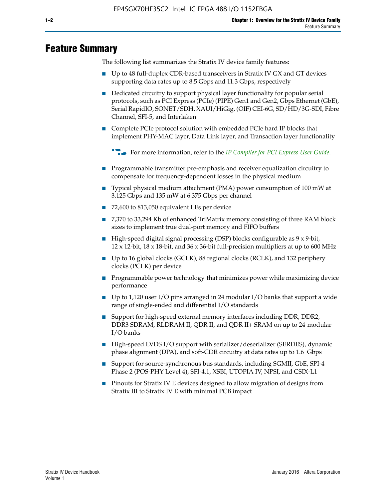# **Feature Summary**

The following list summarizes the Stratix IV device family features:

- Up to 48 full-duplex CDR-based transceivers in Stratix IV GX and GT devices supporting data rates up to 8.5 Gbps and 11.3 Gbps, respectively
- Dedicated circuitry to support physical layer functionality for popular serial protocols, such as PCI Express (PCIe) (PIPE) Gen1 and Gen2, Gbps Ethernet (GbE), Serial RapidIO, SONET/SDH, XAUI/HiGig, (OIF) CEI-6G, SD/HD/3G-SDI, Fibre Channel, SFI-5, and Interlaken
- Complete PCIe protocol solution with embedded PCIe hard IP blocks that implement PHY-MAC layer, Data Link layer, and Transaction layer functionality

**For more information, refer to the** *[IP Compiler for PCI Express User Guide](http://www.altera.com/literature/ug/ug_pci_express.pdf)***.** 

- Programmable transmitter pre-emphasis and receiver equalization circuitry to compensate for frequency-dependent losses in the physical medium
- Typical physical medium attachment (PMA) power consumption of 100 mW at 3.125 Gbps and 135 mW at 6.375 Gbps per channel
- 72,600 to 813,050 equivalent LEs per device
- 7,370 to 33,294 Kb of enhanced TriMatrix memory consisting of three RAM block sizes to implement true dual-port memory and FIFO buffers
- High-speed digital signal processing (DSP) blocks configurable as 9 x 9-bit,  $12 \times 12$ -bit,  $18 \times 18$ -bit, and  $36 \times 36$ -bit full-precision multipliers at up to 600 MHz
- Up to 16 global clocks (GCLK), 88 regional clocks (RCLK), and 132 periphery clocks (PCLK) per device
- Programmable power technology that minimizes power while maximizing device performance
- Up to 1,120 user I/O pins arranged in 24 modular I/O banks that support a wide range of single-ended and differential I/O standards
- Support for high-speed external memory interfaces including DDR, DDR2, DDR3 SDRAM, RLDRAM II, QDR II, and QDR II+ SRAM on up to 24 modular I/O banks
- High-speed LVDS I/O support with serializer/deserializer (SERDES), dynamic phase alignment (DPA), and soft-CDR circuitry at data rates up to 1.6 Gbps
- Support for source-synchronous bus standards, including SGMII, GbE, SPI-4 Phase 2 (POS-PHY Level 4), SFI-4.1, XSBI, UTOPIA IV, NPSI, and CSIX-L1
- Pinouts for Stratix IV E devices designed to allow migration of designs from Stratix III to Stratix IV E with minimal PCB impact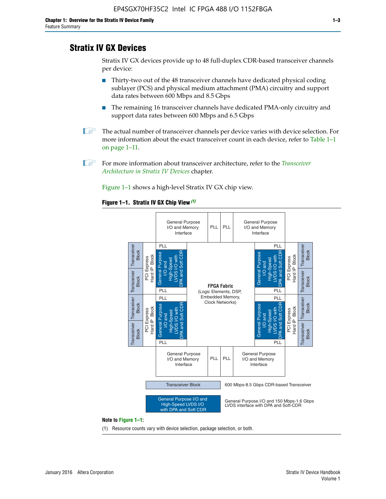# **Stratix IV GX Devices**

Stratix IV GX devices provide up to 48 full-duplex CDR-based transceiver channels per device:

- Thirty-two out of the 48 transceiver channels have dedicated physical coding sublayer (PCS) and physical medium attachment (PMA) circuitry and support data rates between 600 Mbps and 8.5 Gbps
- The remaining 16 transceiver channels have dedicated PMA-only circuitry and support data rates between 600 Mbps and 6.5 Gbps
- **1 The actual number of transceiver channels per device varies with device selection. For** more information about the exact transceiver count in each device, refer to Table 1–1 on page 1–11.
- 1 For more information about transceiver architecture, refer to the *[Transceiver](http://www.altera.com/literature/hb/stratix-iv/stx4_siv52001.pdf)  [Architecture in Stratix IV Devices](http://www.altera.com/literature/hb/stratix-iv/stx4_siv52001.pdf)* chapter.

Figure 1–1 shows a high-level Stratix IV GX chip view.

#### **Figure 1–1. Stratix IV GX Chip View** *(1)*



#### **Note to Figure 1–1:**

(1) Resource counts vary with device selection, package selection, or both.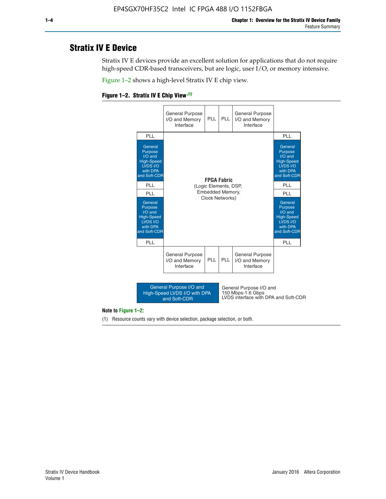# **Stratix IV E Device**

Stratix IV E devices provide an excellent solution for applications that do not require high-speed CDR-based transceivers, but are logic, user I/O, or memory intensive.

Figure 1–2 shows a high-level Stratix IV E chip view.





#### **Note to Figure 1–2:**

(1) Resource counts vary with device selection, package selection, or both.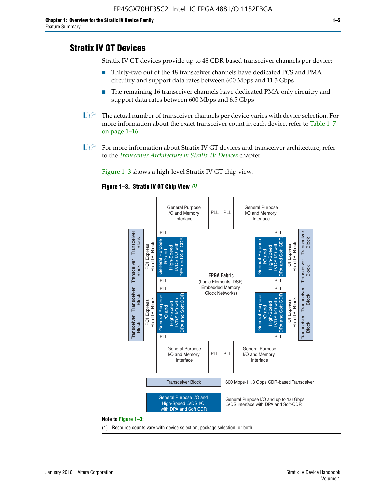# **Stratix IV GT Devices**

Stratix IV GT devices provide up to 48 CDR-based transceiver channels per device:

- Thirty-two out of the 48 transceiver channels have dedicated PCS and PMA circuitry and support data rates between 600 Mbps and 11.3 Gbps
- The remaining 16 transceiver channels have dedicated PMA-only circuitry and support data rates between 600 Mbps and 6.5 Gbps
- **1** The actual number of transceiver channels per device varies with device selection. For more information about the exact transceiver count in each device, refer to Table 1–7 on page 1–16.
- $\mathbb{I}$  For more information about Stratix IV GT devices and transceiver architecture, refer to the *[Transceiver Architecture in Stratix IV Devices](http://www.altera.com/literature/hb/stratix-iv/stx4_siv52001.pdf)* chapter.

Figure 1–3 shows a high-level Stratix IV GT chip view.





(1) Resource counts vary with device selection, package selection, or both.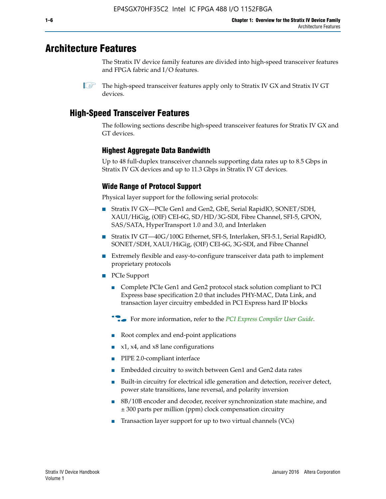# **Architecture Features**

The Stratix IV device family features are divided into high-speed transceiver features and FPGA fabric and I/O features.

 $\mathbb{I}$  The high-speed transceiver features apply only to Stratix IV GX and Stratix IV GT devices.

# **High-Speed Transceiver Features**

The following sections describe high-speed transceiver features for Stratix IV GX and GT devices.

## **Highest Aggregate Data Bandwidth**

Up to 48 full-duplex transceiver channels supporting data rates up to 8.5 Gbps in Stratix IV GX devices and up to 11.3 Gbps in Stratix IV GT devices.

## **Wide Range of Protocol Support**

Physical layer support for the following serial protocols:

- Stratix IV GX—PCIe Gen1 and Gen2, GbE, Serial RapidIO, SONET/SDH, XAUI/HiGig, (OIF) CEI-6G, SD/HD/3G-SDI, Fibre Channel, SFI-5, GPON, SAS/SATA, HyperTransport 1.0 and 3.0, and Interlaken
- Stratix IV GT—40G/100G Ethernet, SFI-S, Interlaken, SFI-5.1, Serial RapidIO, SONET/SDH, XAUI/HiGig, (OIF) CEI-6G, 3G-SDI, and Fibre Channel
- Extremely flexible and easy-to-configure transceiver data path to implement proprietary protocols
- PCIe Support
	- Complete PCIe Gen1 and Gen2 protocol stack solution compliant to PCI Express base specification 2.0 that includes PHY-MAC, Data Link, and transaction layer circuitry embedded in PCI Express hard IP blocks
	- **For more information, refer to the [PCI Express Compiler User Guide](http://www.altera.com/literature/ug/ug_pci_express.pdf).**
	- Root complex and end-point applications
	- $x1, x4,$  and  $x8$  lane configurations
	- PIPE 2.0-compliant interface
	- Embedded circuitry to switch between Gen1 and Gen2 data rates
	- Built-in circuitry for electrical idle generation and detection, receiver detect, power state transitions, lane reversal, and polarity inversion
	- 8B/10B encoder and decoder, receiver synchronization state machine, and ± 300 parts per million (ppm) clock compensation circuitry
	- Transaction layer support for up to two virtual channels (VCs)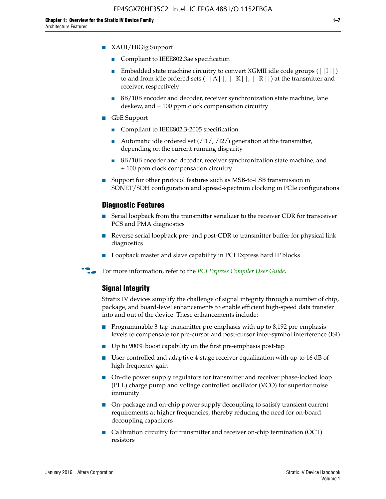- Compliant to IEEE802.3ae specification
- **■** Embedded state machine circuitry to convert XGMII idle code groups  $(|11|)$ to and from idle ordered sets  $(|A|, |K|, |R|)$  at the transmitter and receiver, respectively
- 8B/10B encoder and decoder, receiver synchronization state machine, lane deskew, and  $\pm 100$  ppm clock compensation circuitry
- GbE Support
	- Compliant to IEEE802.3-2005 specification
	- Automatic idle ordered set  $(111/112/1)$  generation at the transmitter, depending on the current running disparity
	- 8B/10B encoder and decoder, receiver synchronization state machine, and ± 100 ppm clock compensation circuitry
- Support for other protocol features such as MSB-to-LSB transmission in SONET/SDH configuration and spread-spectrum clocking in PCIe configurations

## **Diagnostic Features**

- Serial loopback from the transmitter serializer to the receiver CDR for transceiver PCS and PMA diagnostics
- Reverse serial loopback pre- and post-CDR to transmitter buffer for physical link diagnostics
- Loopback master and slave capability in PCI Express hard IP blocks
- **For more information, refer to the** *[PCI Express Compiler User Guide](http://www.altera.com/literature/ug/ug_pci_express.pdf)***.**

## **Signal Integrity**

Stratix IV devices simplify the challenge of signal integrity through a number of chip, package, and board-level enhancements to enable efficient high-speed data transfer into and out of the device. These enhancements include:

- Programmable 3-tap transmitter pre-emphasis with up to 8,192 pre-emphasis levels to compensate for pre-cursor and post-cursor inter-symbol interference (ISI)
- Up to 900% boost capability on the first pre-emphasis post-tap
- User-controlled and adaptive 4-stage receiver equalization with up to 16 dB of high-frequency gain
- On-die power supply regulators for transmitter and receiver phase-locked loop (PLL) charge pump and voltage controlled oscillator (VCO) for superior noise immunity
- On-package and on-chip power supply decoupling to satisfy transient current requirements at higher frequencies, thereby reducing the need for on-board decoupling capacitors
- Calibration circuitry for transmitter and receiver on-chip termination (OCT) resistors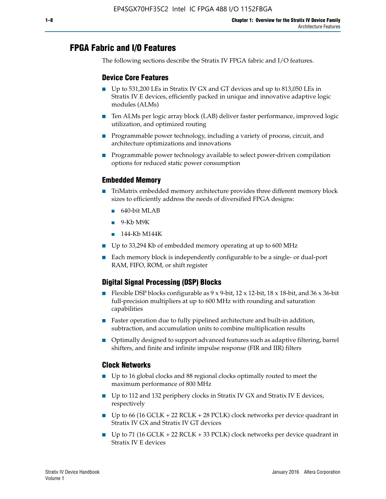# **FPGA Fabric and I/O Features**

The following sections describe the Stratix IV FPGA fabric and I/O features.

## **Device Core Features**

- Up to 531,200 LEs in Stratix IV GX and GT devices and up to 813,050 LEs in Stratix IV E devices, efficiently packed in unique and innovative adaptive logic modules (ALMs)
- Ten ALMs per logic array block (LAB) deliver faster performance, improved logic utilization, and optimized routing
- Programmable power technology, including a variety of process, circuit, and architecture optimizations and innovations
- Programmable power technology available to select power-driven compilation options for reduced static power consumption

## **Embedded Memory**

- TriMatrix embedded memory architecture provides three different memory block sizes to efficiently address the needs of diversified FPGA designs:
	- 640-bit MLAB
	- 9-Kb M9K
	- 144-Kb M144K
- Up to 33,294 Kb of embedded memory operating at up to 600 MHz
- Each memory block is independently configurable to be a single- or dual-port RAM, FIFO, ROM, or shift register

## **Digital Signal Processing (DSP) Blocks**

- Flexible DSP blocks configurable as  $9 \times 9$ -bit,  $12 \times 12$ -bit,  $18 \times 18$ -bit, and  $36 \times 36$ -bit full-precision multipliers at up to 600 MHz with rounding and saturation capabilities
- Faster operation due to fully pipelined architecture and built-in addition, subtraction, and accumulation units to combine multiplication results
- Optimally designed to support advanced features such as adaptive filtering, barrel shifters, and finite and infinite impulse response (FIR and IIR) filters

#### **Clock Networks**

- Up to 16 global clocks and 88 regional clocks optimally routed to meet the maximum performance of 800 MHz
- Up to 112 and 132 periphery clocks in Stratix IV GX and Stratix IV E devices, respectively
- Up to 66 (16 GCLK + 22 RCLK + 28 PCLK) clock networks per device quadrant in Stratix IV GX and Stratix IV GT devices
- Up to 71 (16 GCLK + 22 RCLK + 33 PCLK) clock networks per device quadrant in Stratix IV E devices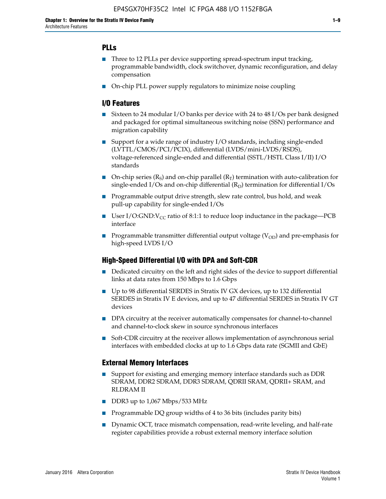## **PLLs**

- Three to 12 PLLs per device supporting spread-spectrum input tracking, programmable bandwidth, clock switchover, dynamic reconfiguration, and delay compensation
- On-chip PLL power supply regulators to minimize noise coupling

## **I/O Features**

- Sixteen to 24 modular I/O banks per device with 24 to 48 I/Os per bank designed and packaged for optimal simultaneous switching noise (SSN) performance and migration capability
- Support for a wide range of industry I/O standards, including single-ended (LVTTL/CMOS/PCI/PCIX), differential (LVDS/mini-LVDS/RSDS), voltage-referenced single-ended and differential (SSTL/HSTL Class I/II) I/O standards
- **O**n-chip series  $(R_S)$  and on-chip parallel  $(R_T)$  termination with auto-calibration for single-ended I/Os and on-chip differential  $(R_D)$  termination for differential I/Os
- Programmable output drive strength, slew rate control, bus hold, and weak pull-up capability for single-ended I/Os
- User I/O:GND: $V_{CC}$  ratio of 8:1:1 to reduce loop inductance in the package—PCB interface
- **■** Programmable transmitter differential output voltage ( $V_{OD}$ ) and pre-emphasis for high-speed LVDS I/O

#### **High-Speed Differential I/O with DPA and Soft-CDR**

- Dedicated circuitry on the left and right sides of the device to support differential links at data rates from 150 Mbps to 1.6 Gbps
- Up to 98 differential SERDES in Stratix IV GX devices, up to 132 differential SERDES in Stratix IV E devices, and up to 47 differential SERDES in Stratix IV GT devices
- DPA circuitry at the receiver automatically compensates for channel-to-channel and channel-to-clock skew in source synchronous interfaces
- Soft-CDR circuitry at the receiver allows implementation of asynchronous serial interfaces with embedded clocks at up to 1.6 Gbps data rate (SGMII and GbE)

#### **External Memory Interfaces**

- Support for existing and emerging memory interface standards such as DDR SDRAM, DDR2 SDRAM, DDR3 SDRAM, QDRII SRAM, QDRII+ SRAM, and RLDRAM II
- DDR3 up to 1,067 Mbps/533 MHz
- Programmable DQ group widths of 4 to 36 bits (includes parity bits)
- Dynamic OCT, trace mismatch compensation, read-write leveling, and half-rate register capabilities provide a robust external memory interface solution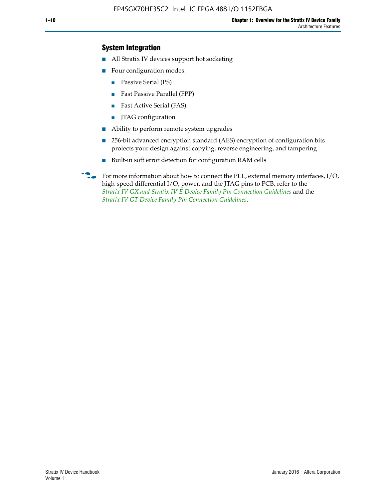## **System Integration**

- All Stratix IV devices support hot socketing
- Four configuration modes:
	- Passive Serial (PS)
	- Fast Passive Parallel (FPP)
	- Fast Active Serial (FAS)
	- JTAG configuration
- Ability to perform remote system upgrades
- 256-bit advanced encryption standard (AES) encryption of configuration bits protects your design against copying, reverse engineering, and tampering
- Built-in soft error detection for configuration RAM cells
- For more information about how to connect the PLL, external memory interfaces,  $I/O$ , high-speed differential I/O, power, and the JTAG pins to PCB, refer to the *[Stratix IV GX and Stratix IV E Device Family Pin Connection Guidelines](http://www.altera.com/literature/dp/stratix4/PCG-01005.pdf)* and the *[Stratix IV GT Device Family Pin Connection Guidelines](http://www.altera.com/literature/dp/stratix4/PCG-01006.pdf)*.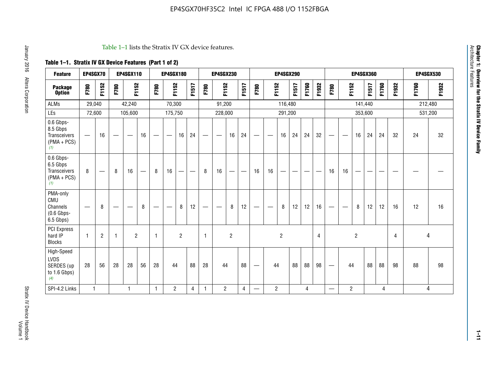#### Table 1–1 lists the Stratix IV GX device features.

## **Table 1–1. Stratix IV GX Device Features (Part 1 of 2)**

| <b>Feature</b>                                                 | EP4SGX70                 |                |                                  | <b>EP4SGX110</b>  |                          |                                | <b>EP4SGX180</b>               |                |       |              | <b>EP4SGX230</b>         |                |       |                                 |                | <b>EP4SGX290</b> |       |       |                |                                 |                   | <b>EP4SGX360</b> |         |       |       |         | <b>EP4SGX530</b> |
|----------------------------------------------------------------|--------------------------|----------------|----------------------------------|-------------------|--------------------------|--------------------------------|--------------------------------|----------------|-------|--------------|--------------------------|----------------|-------|---------------------------------|----------------|------------------|-------|-------|----------------|---------------------------------|-------------------|------------------|---------|-------|-------|---------|------------------|
| <b>Package</b><br><b>Option</b>                                | F780                     | F1152          | F780                             | F1152             |                          | F780                           | F1152                          |                | F1517 | F780         | F1152                    |                | F1517 | F780                            | F1152          |                  | F1517 | F1760 | F1932          | F780                            | F1152             |                  | F1517   | F1760 | F1932 | F1760   | F1932            |
| <b>ALMs</b>                                                    | 29,040                   |                |                                  | 42,240            |                          |                                | 70,300                         |                |       |              | 91,200                   |                |       |                                 |                | 116,480          |       |       |                |                                 |                   |                  | 141,440 |       |       | 212,480 |                  |
| LEs                                                            | 72,600                   |                |                                  | 105,600           |                          |                                | 175,750                        |                |       |              | 228,000                  |                |       |                                 |                | 291,200          |       |       |                |                                 |                   |                  | 353,600 |       |       |         | 531,200          |
| 0.6 Gbps-<br>8.5 Gbps<br>Transceivers<br>$(PMA + PCs)$<br>(1)  | $\overline{\phantom{0}}$ | 16             | $\hspace{0.05cm}$                | $\hspace{0.05cm}$ | 16                       | $\qquad \qquad \longleftarrow$ | $\hspace{0.05cm}$              | 16             | 24    |              | $\overline{\phantom{a}}$ | 16             | 24    | —                               |                | 16               | 24    | 24    | 32             | $\overline{\phantom{0}}$        | $\hspace{0.05cm}$ | 16               | 24      | 24    | 32    | 24      | 32               |
| 0.6 Gbps-<br>6.5 Gbps<br>Transceivers<br>$(PMA + PCs)$<br>(1)  | 8                        |                | 8                                | 16                | $\overline{\phantom{0}}$ | 8                              | 16                             | ÷              |       | 8            | 16                       | —              |       | 16                              | 16             |                  |       |       |                | 16                              | 16                |                  |         |       |       |         |                  |
| PMA-only<br>CMU<br>Channels<br>$(0.6$ Gbps-<br>6.5 Gbps)       | $\overline{\phantom{0}}$ | 8              | $\overbrace{\phantom{12322111}}$ |                   | 8                        | $\qquad \qquad \longleftarrow$ | $\qquad \qquad \longleftarrow$ | 8              | 12    |              |                          | 8              | 12    | $\hspace{0.1mm}-\hspace{0.1mm}$ |                | 8                | 12    | 12    | 16             | $\overline{\phantom{0}}$        | $\hspace{0.05cm}$ | 8                | 12      | 12    | 16    | 12      | 16               |
| <b>PCI Express</b><br>hard IP<br><b>Blocks</b>                 | $\mathbf{1}$             | $\overline{2}$ | $\mathbf 1$                      | $\overline{2}$    |                          | $\mathbf{1}$                   |                                | $\overline{2}$ |       | $\mathbf{1}$ |                          | $\overline{c}$ |       |                                 |                | $\overline{c}$   |       |       | $\overline{4}$ |                                 |                   | $\overline{2}$   |         |       | 4     |         | 4                |
| High-Speed<br><b>LVDS</b><br>SERDES (up<br>to 1.6 Gbps)<br>(4) | 28                       | 56             | 28                               | 28                | 56                       | 28                             | 44                             |                | 88    | 28           | 44                       |                | 88    | —                               | 44             |                  | 88    | 88    | 98             | $\hspace{0.1mm}-\hspace{0.1mm}$ | 44                |                  | 88      | 88    | 98    | 88      | 98               |
| SPI-4.2 Links                                                  | $\mathbf{1}$             |                |                                  | 1                 |                          | $\mathbf{1}$                   | $\overline{c}$                 |                | 4     | 1            | $\overline{c}$           |                | 4     | —                               | $\overline{2}$ |                  |       | 4     |                | $\overline{\phantom{0}}$        | $\overline{2}$    |                  |         | 4     |       |         | 4                |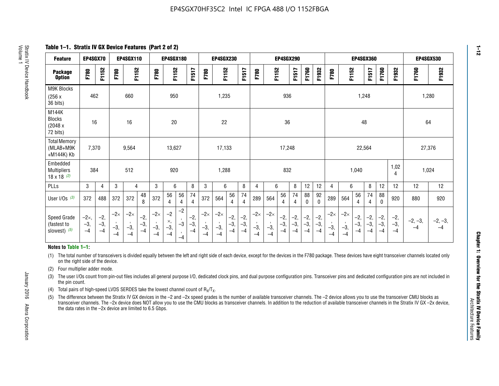**Table 1–1. Stratix IV GX Device Features (Part 2 of 2)**

| <b>Feature</b>                                       | EP4SGX70                |                        |                             | <b>EP4SGX110</b>            |                      |                             | <b>EP4SGX180</b>          |                      |                        |                             | <b>EP4SGX230</b>            |                      |                        |                             |                             | <b>EP4SGX290</b>       |                      |                        |                      |                             |                             |                        | <b>EP4SGX360</b>       |                        |                        | <b>EP4SGX530</b>  |                   |
|------------------------------------------------------|-------------------------|------------------------|-----------------------------|-----------------------------|----------------------|-----------------------------|---------------------------|----------------------|------------------------|-----------------------------|-----------------------------|----------------------|------------------------|-----------------------------|-----------------------------|------------------------|----------------------|------------------------|----------------------|-----------------------------|-----------------------------|------------------------|------------------------|------------------------|------------------------|-------------------|-------------------|
| <b>Package</b><br><b>Option</b>                      | F780                    | F1152                  | F780                        | F1152                       |                      | F780                        | F1152                     |                      | F1517                  | F780                        | F1152                       |                      | F1517                  | F780                        | F1152                       |                        | F1517                | F1760                  | F1932                | F780                        | F1152                       |                        | F1517                  | F1760                  | F1932                  | F1760             | F1932             |
| M9K Blocks<br>(256x)<br>36 bits)                     | 462                     |                        |                             | 660                         |                      |                             | 950                       |                      |                        |                             | 1,235                       |                      |                        |                             |                             | 936                    |                      |                        |                      |                             |                             | 1,248                  |                        |                        |                        | 1,280             |                   |
| M144K<br>Blocks<br>(2048 x<br>72 bits)               | 16                      |                        |                             | 16                          |                      |                             | 20                        |                      |                        |                             | 22                          |                      |                        |                             |                             | 36                     |                      |                        |                      |                             |                             | 48                     |                        |                        |                        | 64                |                   |
| <b>Total Memory</b><br>(MLAB+M9K<br>+M144K) Kb       | 7,370                   |                        |                             | 9,564                       |                      |                             | 13,627                    |                      |                        |                             | 17,133                      |                      |                        |                             |                             | 17,248                 |                      |                        |                      |                             |                             | 22,564                 |                        |                        |                        | 27,376            |                   |
| Embedded<br><b>Multipliers</b><br>$18 \times 18$ (2) | 384                     |                        |                             | 512                         |                      |                             | 920                       |                      |                        |                             | 1,288                       |                      |                        |                             |                             | 832                    |                      |                        |                      |                             |                             | 1,040                  |                        |                        | 1,02<br>4              | 1,024             |                   |
| PLLs                                                 | 3                       | 4                      | 3                           | 4                           |                      | 3                           | 6                         |                      | 8                      | 3                           | 6                           |                      | 8                      | $\overline{4}$              | 6                           |                        | 8                    | 12                     | 12                   | 4                           | 6                           |                        | 8                      | 12                     | 12                     | 12                | 12                |
| User I/Os $(3)$                                      | 372                     | 488                    | 372                         | 372                         | 48<br>8              | 372                         | 56<br>4                   | 56<br>4              | 74<br>4                | 372                         | 564                         | 56<br>4              | 74<br>$\overline{4}$   | 289                         | 564                         | 56<br>4                | 74<br>4              | 88<br>0                | 92<br>$\mathbf{0}$   | 289                         | 564                         | 56<br>4                | 74<br>4                | 88<br>0                | 920                    | 880               | 920               |
| Speed Grade<br>(fastest to<br>slowest) (5)           | $-2x,$<br>$-3,$<br>$-4$ | $-2,$<br>$-3,$<br>$-4$ | $-2\times$<br>$-3,$<br>$-4$ | $-2\times$<br>$-3,$<br>$-4$ | $-2,$<br>-3,<br>$-4$ | $-2\times$<br>$-3,$<br>$-4$ | $-2$<br>×,<br>$-3,$<br>-4 | $-2$<br>$-3$<br>$-4$ | $-2,$<br>$-3,$<br>$-4$ | $-2\times$<br>$-3,$<br>$-4$ | $-2\times$<br>$-3,$<br>$-4$ | $-2,$<br>-3,<br>$-4$ | $-2,$<br>$-3,$<br>$-4$ | $-2\times$<br>$-3,$<br>$-4$ | $-2\times$<br>$-3,$<br>$-4$ | $-2,$<br>$-3,$<br>$-4$ | $-2,$<br>-3,<br>$-4$ | $-2,$<br>$-3,$<br>$-4$ | $-2,$<br>-3,<br>$-4$ | $-2\times$<br>$-3,$<br>$-4$ | $-2\times$<br>$-3,$<br>$-4$ | $-2,$<br>$-3,$<br>$-4$ | $-2,$<br>$-3,$<br>$-4$ | $-2,$<br>$-3,$<br>$-4$ | $-2,$<br>$-3,$<br>$-4$ | $-2, -3,$<br>$-4$ | $-2, -3,$<br>$-4$ |

#### **Notes to Table 1–1:**

(1) The total number of transceivers is divided equally between the left and right side of each device, except for the devices in the F780 package. These devices have eight transceiver channels located only on the right side of the device.

- (2) Four multiplier adder mode.
- (3) The user I/Os count from pin-out files includes all general purpose I/O, dedicated clock pins, and dual purpose configuration pins. Transceiver pins and dedicated configuration pins are not included in the pin count.
- (4) Total pairs of high-speed LVDS SERDES take the lowest channel count of  $R_X/T_X$ .
- (5) The difference between the Stratix IV GX devices in the –2 and –2x speed grades is the number of available transceiver channels. The –2 device allows you to use the transceiver CMU blocks as transceiver channels. The –2x device does NOT allow you to use the CMU blocks as transceiver channels. In addition to the reduction of available transceiver channels in the Stratix IV GX –2x device, the data rates in the –2x device are limited to 6.5 Gbps.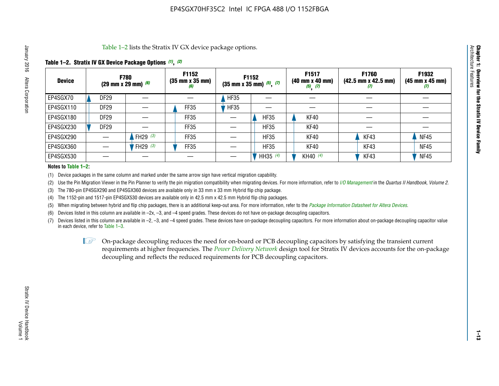Table 1–2 lists the Stratix IV GX device package options.

#### **Table 1–2. Stratix IV GX Device Package Options** *(1)***,** *(2)*

| <b>Device</b> |                  | <b>F780</b><br>(29 mm x 29 mm) $(6)$ | F1152<br>$(35 \, \text{mm} \times 35 \, \text{mm})$<br>(6) |             | <b>F1152</b><br>$(35 \text{ mm} \times 35 \text{ mm})$ $(5)$ , $(7)$ | F1517<br>(40 mm x 40 mm)<br>$(5)$ $(7)$ | <b>F1760</b><br>$(42.5 \text{ mm} \times 42.5 \text{ mm})$<br>Ø | F1932<br>$(45 \, \text{mm} \times 45 \, \text{mm})$<br>(7) |
|---------------|------------------|--------------------------------------|------------------------------------------------------------|-------------|----------------------------------------------------------------------|-----------------------------------------|-----------------------------------------------------------------|------------------------------------------------------------|
| EP4SGX70      | <b>DF29</b>      |                                      |                                                            | <b>HF35</b> |                                                                      |                                         |                                                                 |                                                            |
| EP4SGX110     | <b>DF29</b>      |                                      | FF35                                                       | <b>HF35</b> |                                                                      |                                         |                                                                 |                                                            |
| EP4SGX180     | DF <sub>29</sub> |                                      | FF35                                                       |             | <b>HF35</b>                                                          | KF40                                    |                                                                 |                                                            |
| EP4SGX230     | DF <sub>29</sub> |                                      | FF35                                                       |             | <b>HF35</b>                                                          | KF40                                    |                                                                 |                                                            |
| EP4SGX290     |                  | FH29 $(3)$                           | FF35                                                       |             | <b>HF35</b>                                                          | KF40                                    | KF43                                                            | <b>NF45</b>                                                |
| EP4SGX360     |                  | FH29 (3)                             | FF35                                                       |             | <b>HF35</b>                                                          | KF40                                    | KF43                                                            | <b>NF45</b>                                                |
| EP4SGX530     |                  |                                      |                                                            |             | HH35 (4)                                                             | KH40 (4)                                | KF43                                                            | <b>NF45</b>                                                |

#### **Notes to Table 1–2:**

(1) Device packages in the same column and marked under the same arrow sign have vertical migration capability.

(2) Use the Pin Migration Viewer in the Pin Planner to verify the pin migration compatibility when migrating devices. For more information, refer to *[I/O Management](http://www.altera.com/literature/hb/qts/qts_qii52013.pdf)* in the *Quartus II Handbook, Volume 2*.

(3) The 780-pin EP4SGX290 and EP4SGX360 devices are available only in 33 mm x 33 mm Hybrid flip chip package.

(4) The 1152-pin and 1517-pin EP4SGX530 devices are available only in 42.5 mm x 42.5 mm Hybrid flip chip packages.

(5) When migrating between hybrid and flip chip packages, there is an additional keep-out area. For more information, refer to the *[Package Information Datasheet for Altera Devices](http://www.altera.com/literature/ds/dspkg.pdf)*.

(6) Devices listed in this column are available in –2x, –3, and –4 speed grades. These devices do not have on-package decoupling capacitors.

(7) Devices listed in this column are available in –2, –3, and –4 speed grades. These devices have on-package decoupling capacitors. For more information about on-package decoupling capacitor value in each device, refer to Table 1–3.

 $\mathbb{L}$ s On-package decoupling reduces the need for on-board or PCB decoupling capacitors by satisfying the transient current requirements at higher frequencies. The *[Power Delivery Network](http://www.altera.com/literature/ug/pdn_tool_stxiv.zip)* design tool for Stratix IV devices accounts for the on-package decoupling and reflects the reduced requirements for PCB decoupling capacitors.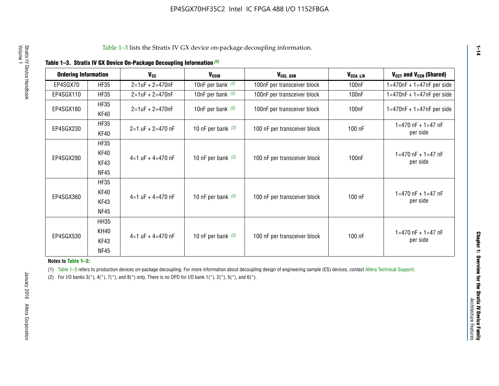|  |  | Table 1-3. Stratix IV GX Device On-Package Decoupling Information (1) |  |  |
|--|--|-----------------------------------------------------------------------|--|--|
|--|--|-----------------------------------------------------------------------|--|--|

| <b>Ordering Information</b> |                            | <b>V<sub>cc</sub></b>               | V <sub>ccio</sub>    | V <sub>CCL GXB</sub>         | V <sub>CCA_L/R</sub> | V <sub>CCT</sub> and V <sub>CCR</sub> (Shared)   |
|-----------------------------|----------------------------|-------------------------------------|----------------------|------------------------------|----------------------|--------------------------------------------------|
| EP4SGX70                    | <b>HF35</b>                | $2\times1$ uF + $2\times470$ nF     | 10nF per bank $(2)$  | 100nF per transceiver block  | 100 <sub>n</sub> F   | $1 \times 470$ nF + $1 \times 47$ nF per side    |
| EP4SGX110                   | <b>HF35</b>                | $2\times1$ uF + $2\times470$ nF     | 10nF per bank $(2)$  | 100nF per transceiver block  | 100 <sub>n</sub> F   | $1\times470$ nF + $1\times47$ nF per side        |
| EP4SGX180                   | <b>HF35</b><br>KF40        | $2\times1$ uF + $2\times470$ nF     | 10nF per bank $(2)$  | 100nF per transceiver block  | 100 <sub>n</sub> F   | $1 \times 470$ nF + $1 \times 47$ nF per side    |
| EP4SGX230                   | <b>HF35</b><br>KF40        | $2 \times 1$ uF + $2 \times 470$ nF | 10 nF per bank $(2)$ | 100 nF per transceiver block | 100 nF               | $1 \times 470$ nF + $1 \times 47$ nF<br>per side |
|                             | <b>HF35</b><br><b>KF40</b> |                                     |                      |                              |                      | $1 \times 470$ nF + $1 \times 47$ nF             |
| EP4SGX290                   | KF43<br><b>NF45</b>        | $4 \times 1$ uF + $4 \times 470$ nF | 10 nF per bank $(2)$ | 100 nF per transceiver block | 100nF                | per side                                         |
|                             | <b>HF35</b><br>KF40        |                                     |                      |                              |                      | $1 \times 470$ nF + $1 \times 47$ nF             |
| EP4SGX360                   | KF43<br><b>NF45</b>        | $4 \times 1$ uF + $4 \times 470$ nF | 10 nF per bank $(2)$ | 100 nF per transceiver block | 100 nF               | per side                                         |
|                             | <b>HH35</b>                |                                     |                      |                              |                      |                                                  |
| EP4SGX530                   | <b>KH40</b><br>KF43        | $4 \times 1$ uF + $4 \times 470$ nF | 10 nF per bank $(2)$ | 100 nF per transceiver block | 100 nF               | $1 \times 470$ nF + $1 \times 47$ nF<br>per side |
| <b>NF45</b>                 |                            |                                     |                      |                              |                      |                                                  |

**Notes to Table 1–3:**

(1) Table 1-3 refers to production devices on-package decoupling. For more information about decoupling design of engineering sample (ES) devices, contact [Altera Technical Support](http://mysupport.altera.com/eservice/login.asp).

(2) For I/O banks  $3(*)$ ,  $4(*)$ ,  $7(*)$ , and  $8(*)$  only. There is no OPD for I/O bank  $1(*)$ ,  $2(*)$ ,  $5(*)$ , and  $6(*)$ .

**1–14**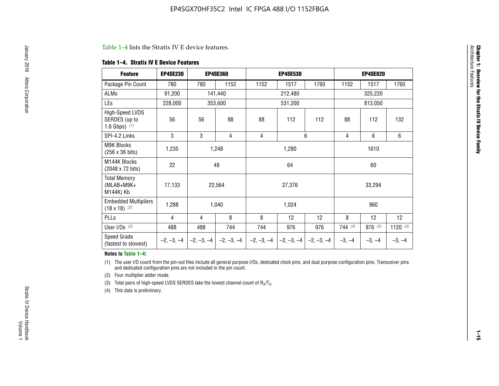#### Table 1–4 lists the Stratix IV E device features.

#### **Table 1–4. Stratix IV E Device Features**

| <b>Feature</b>                                      | <b>EP4SE230</b> |     | <b>EP4SE360</b>                        |              | <b>EP4SE530</b> |              |          | <b>EP4SE820</b> |            |
|-----------------------------------------------------|-----------------|-----|----------------------------------------|--------------|-----------------|--------------|----------|-----------------|------------|
| Package Pin Count                                   | 780             | 780 | 1152                                   | 1152         | 1517            | 1760         | 1152     | 1517            | 1760       |
| ALMs                                                | 91,200          |     | 141,440                                |              | 212,480         |              |          | 325,220         |            |
| LEs                                                 | 228,000         |     | 353,600                                |              | 531,200         |              |          | 813,050         |            |
| High-Speed LVDS<br>SERDES (up to<br>1.6 Gbps) $(1)$ | 56              | 56  | 88                                     | 88           | 112             | 112          | 88       | 112             | 132        |
| SPI-4.2 Links                                       | 3               | 3   | 4                                      | 4            |                 | 6            | 4        | 6               | 6          |
| <b>M9K Blocks</b><br>(256 x 36 bits)                | 1,235           |     | 1,248                                  |              | 1,280           |              |          | 1610            |            |
| M144K Blocks<br>(2048 x 72 bits)                    | 22              |     | 48                                     |              | 64              |              |          | 60              |            |
| <b>Total Memory</b><br>$(MLAB+M9K+$<br>M144K) Kb    | 17,133          |     | 22,564                                 |              | 27,376          |              |          | 33,294          |            |
| <b>Embedded Multipliers</b><br>$(18 \times 18)$ (2) | 1,288           |     | 1,040                                  |              | 1,024           |              |          | 960             |            |
| PLLs                                                | 4               | 4   | 8                                      | 8            | 12              | 12           | 8        | 12              | 12         |
| User I/Os $(3)$                                     | 488             | 488 | 744                                    | 744          | 976             | 976          | 744(4)   | 976 (4)         | 1120 $(4)$ |
| Speed Grade<br>(fastest to slowest)                 |                 |     | $-2, -3, -4$ $-2, -3, -4$ $-2, -3, -4$ | $-2, -3, -4$ | $-2, -3, -4$    | $-2, -3, -4$ | $-3, -4$ | $-3, -4$        | $-3, -4$   |

#### **Notes to Table 1–4:**

(1) The user I/O count from the pin-out files include all general purpose I/Os, dedicated clock pins, and dual purpose configuration pins. Transceiver pins and dedicated configuration pins are not included in the pin count.

(2) Four multiplier adder mode.

(3) Total pairs of high-speed LVDS SERDES take the lowest channel count of  $R_X/T_X$ .

(4) This data is preliminary.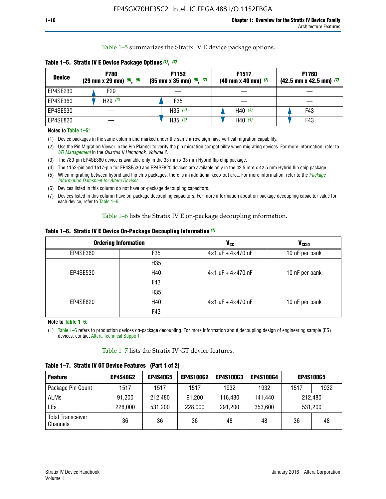Table 1–5 summarizes the Stratix IV E device package options.

| <b>Device</b> | <b>F780</b><br>$(29 \text{ mm} \times 29 \text{ mm})$ $(5)$ , $(6)$ | F1152<br>$(35 \text{ mm} \times 35 \text{ mm})$ $(5)$ , $(7)$ | F <sub>1517</sub><br>$(40 \text{ mm} \times 40 \text{ mm})$ (7) | <b>F1760</b><br>$(42.5$ mm x 42.5 mm) $(7)$ |  |  |
|---------------|---------------------------------------------------------------------|---------------------------------------------------------------|-----------------------------------------------------------------|---------------------------------------------|--|--|
| EP4SE230      | F29                                                                 |                                                               |                                                                 |                                             |  |  |
| EP4SE360      | H <sub>29</sub> $(3)$                                               | F35                                                           |                                                                 |                                             |  |  |
| EP4SE530      |                                                                     | H35 $(4)$                                                     | H40 $(4)$                                                       | F43                                         |  |  |
| EP4SE820      |                                                                     | H35 $(4)$                                                     | H40 $(4)$                                                       | F43                                         |  |  |

**Table 1–5. Stratix IV E Device Package Options** *(1)***,** *(2)*

#### **Notes to Table 1–5:**

(1) Device packages in the same column and marked under the same arrow sign have vertical migration capability.

(2) Use the Pin Migration Viewer in the Pin Planner to verify the pin migration compatibility when migrating devices. For more information, refer to *[I/O Management](http://www.altera.com/literature/hb/qts/qts_qii52013.pdf)* in the *Quartus II Handbook, Volume 2*.

(3) The 780-pin EP4SE360 device is available only in the 33 mm x 33 mm Hybrid flip chip package.

(4) The 1152-pin and 1517-pin for EP4SE530 and EP4SE820 devices are available only in the 42.5 mm x 42.5 mm Hybrid flip chip package.

(5) When migrating between hybrid and flip chip packages, there is an additional keep-out area. For more information, refer to the *[Package](http://www.altera.com/literature/ds/dspkg.pdf)  [Information Datasheet for Altera Devices](http://www.altera.com/literature/ds/dspkg.pdf)*.

(6) Devices listed in this column do not have on-package decoupling capacitors.

(7) Devices listed in this column have on-package decoupling capacitors. For more information about on-package decoupling capacitor value for each device, refer to Table 1–6.

Table 1–6 lists the Stratix IV E on-package decoupling information.

| Table 1–6. Stratix IV E Device On-Package Decoupling Information (1) |  |  |  |  |  |
|----------------------------------------------------------------------|--|--|--|--|--|
|----------------------------------------------------------------------|--|--|--|--|--|

|          | <b>Ordering Information</b> | <b>V<sub>cc</sub></b>               | <b>V<sub>CCIO</sub></b> |
|----------|-----------------------------|-------------------------------------|-------------------------|
| EP4SE360 | F35                         | $4 \times 1$ uF + $4 \times 470$ nF | 10 nF per bank          |
|          | H <sub>35</sub>             |                                     |                         |
| EP4SE530 | H40                         | $4 \times 1$ uF + $4 \times 470$ nF | 10 nF per bank          |
|          | F43                         |                                     |                         |
|          | H <sub>35</sub>             |                                     |                         |
| EP4SE820 | H40                         | $4 \times 1$ uF + $4 \times 470$ nF | 10 nF per bank          |
|          | F43                         |                                     |                         |

**Note to Table 1–6:**

(1) Table 1–6 refers to production devices on-package decoupling. For more information about decoupling design of engineering sample (ES) devices, contact [Altera Technical Support](http://mysupport.altera.com/eservice/login.asp).

Table 1–7 lists the Stratix IV GT device features.

| <b>Feature</b>                       | <b>EP4S40G2</b> | <b>EP4S40G5</b> | <b>EP4S100G2</b> | <b>EP4S100G3</b> | <b>EP4S100G4</b> |         | <b>EP4S100G5</b> |
|--------------------------------------|-----------------|-----------------|------------------|------------------|------------------|---------|------------------|
| Package Pin Count                    | 1517            | 1517            | 1517             | 1932             | 1932             | 1517    | 1932             |
| <b>ALMs</b>                          | 91,200          | 212,480         | 91,200           | 116,480          | 141,440          |         | 212.480          |
| LEs                                  | 228,000         | 531,200         | 228,000          | 291,200          | 353,600          | 531,200 |                  |
| <b>Total Transceiver</b><br>Channels | 36              | 36              | 36               | 48               | 48               | 36      | 48               |

**Table 1–7. Stratix IV GT Device Features (Part 1 of 2)**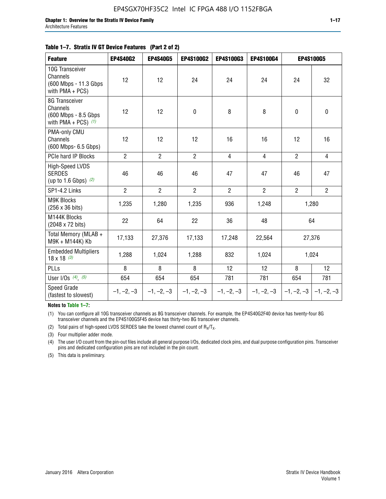#### **Table 1–7. Stratix IV GT Device Features (Part 2 of 2)**

| <b>Feature</b>                                                                 | <b>EP4S40G2</b> | <b>EP4S40G5</b> | <b>EP4S100G2</b> | <b>EP4S100G3</b> | <b>EP4S100G4</b> |                           | <b>EP4S100G5</b> |
|--------------------------------------------------------------------------------|-----------------|-----------------|------------------|------------------|------------------|---------------------------|------------------|
| 10G Transceiver<br><b>Channels</b><br>(600 Mbps - 11.3 Gbps<br>with PMA + PCS) | 12              | 12              | 24               | 24               | 24               | 24                        | 32               |
| 8G Transceiver<br>Channels<br>(600 Mbps - 8.5 Gbps<br>with PMA + PCS) $(1)$    | 12              | 12              | $\pmb{0}$        | 8                | 8                | $\mathbf 0$               | $\mathbf 0$      |
| PMA-only CMU<br><b>Channels</b><br>(600 Mbps- 6.5 Gbps)                        | 12              | 12              | 12               | 16               | 16               | 12                        | 16               |
| PCIe hard IP Blocks                                                            | $\overline{2}$  | $\overline{2}$  | $\overline{2}$   | $\overline{4}$   | $\overline{4}$   | $\overline{2}$            | $\overline{4}$   |
| <b>High-Speed LVDS</b><br><b>SERDES</b><br>(up to 1.6 Gbps) $(2)$              | 46              | 46              | 46               | 47               | 47               | 46                        | 47               |
| SP1-4.2 Links                                                                  | $\overline{2}$  | $\overline{2}$  | $\overline{2}$   | $\overline{2}$   | $\overline{2}$   | $\overline{2}$            | $2^{\circ}$      |
| <b>M9K Blocks</b><br>(256 x 36 bits)                                           | 1,235           | 1,280           | 1,235            | 936              | 1,248            |                           | 1,280            |
| M144K Blocks<br>(2048 x 72 bits)                                               | 22              | 64              | 22               | 36               | 48               |                           | 64               |
| Total Memory (MLAB +<br>M9K + M144K) Kb                                        | 17,133          | 27,376          | 17,133           | 17,248           | 22,564           |                           | 27,376           |
| <b>Embedded Multipliers</b><br>$18 \times 18^{(3)}$                            | 1,288           | 1,024           | 1,288            | 832              | 1,024            | 1,024                     |                  |
| PLLs                                                                           | 8               | 8               | 8                | 12               | 12               | 8                         | 12               |
| User I/Os $(4)$ , $(5)$                                                        | 654             | 654             | 654              | 781              | 781              | 654                       | 781              |
| Speed Grade<br>(fastest to slowest)                                            | $-1, -2, -3$    | $-1, -2, -3$    | $-1, -2, -3$     | $-1, -2, -3$     | $-1, -2, -3$     | $-1, -2, -3$ $-1, -2, -3$ |                  |

**Notes to Table 1–7:**

(1) You can configure all 10G transceiver channels as 8G transceiver channels. For example, the EP4S40G2F40 device has twenty-four 8G transceiver channels and the EP4S100G5F45 device has thirty-two 8G transceiver channels.

(2) Total pairs of high-speed LVDS SERDES take the lowest channel count of  $R_X/T_X$ .

(3) Four multiplier adder mode.

(4) The user I/O count from the pin-out files include all general purpose I/Os, dedicated clock pins, and dual purpose configuration pins. Transceiver pins and dedicated configuration pins are not included in the pin count.

(5) This data is preliminary.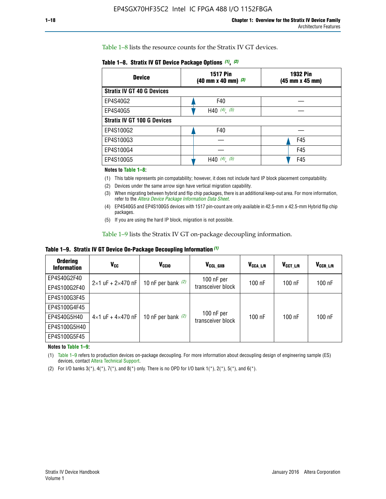Table 1–8 lists the resource counts for the Stratix IV GT devices.

| Table 1–8. Stratix IV GT Device Package Options (1), (2) |  |  |  |  |  |  |
|----------------------------------------------------------|--|--|--|--|--|--|
|----------------------------------------------------------|--|--|--|--|--|--|

| <b>Device</b>                      | <b>1517 Pin</b><br>$(40 \text{ mm} \times 40 \text{ mm})$ $(3)$ | <b>1932 Pin</b><br>(45 mm x 45 mm) |  |
|------------------------------------|-----------------------------------------------------------------|------------------------------------|--|
| <b>Stratix IV GT 40 G Devices</b>  |                                                                 |                                    |  |
| EP4S40G2                           | F40                                                             |                                    |  |
| EP4S40G5                           | H40 $(4)$ , $(5)$                                               |                                    |  |
| <b>Stratix IV GT 100 G Devices</b> |                                                                 |                                    |  |
| EP4S100G2                          | F40                                                             |                                    |  |
| EP4S100G3                          |                                                                 | F45                                |  |
| EP4S100G4                          |                                                                 | F45                                |  |
| EP4S100G5                          | $(4)$ $(5)$<br>H40                                              | F45                                |  |

#### **Notes to Table 1–8:**

(1) This table represents pin compatability; however, it does not include hard IP block placement compatability.

- (2) Devices under the same arrow sign have vertical migration capability.
- (3) When migrating between hybrid and flip chip packages, there is an additional keep-out area. For more information, refer to the *[Altera Device Package Information Data Sheet](http://www.altera.com/literature/ds/dspkg.pdf)*.
- (4) EP4S40G5 and EP4S100G5 devices with 1517 pin-count are only available in 42.5-mm x 42.5-mm Hybrid flip chip packages.
- (5) If you are using the hard IP block, migration is not possible.

Table 1–9 lists the Stratix IV GT on-package decoupling information.

**Table 1–9. Stratix IV GT Device On-Package Decoupling Information** *(1)*

| <b>Ordering</b><br><b>Information</b> | Vcc                                 | <b>V<sub>CCIO</sub></b> | V <sub>CCL GXB</sub>            | V <sub>CCA L/R</sub> | V <sub>CCT L/R</sub> | V <sub>CCR_L/R</sub> |
|---------------------------------------|-------------------------------------|-------------------------|---------------------------------|----------------------|----------------------|----------------------|
| EP4S40G2F40                           | $2 \times 1$ uF + $2 \times 470$ nF | 10 nF per bank $(2)$    | 100 nF per<br>transceiver block | $100$ nF             | $100$ nF             | $100$ nF             |
| EP4S100G2F40                          |                                     |                         |                                 |                      |                      |                      |
| EP4S100G3F45                          |                                     | 10 nF per bank $(2)$    | 100 nF per<br>transceiver block | $100$ nF             | $100$ nF             | $100$ nF             |
| EP4S100G4F45                          |                                     |                         |                                 |                      |                      |                      |
| EP4S40G5H40                           | $4\times1$ uF + $4\times470$ nF     |                         |                                 |                      |                      |                      |
| EP4S100G5H40                          |                                     |                         |                                 |                      |                      |                      |
| EP4S100G5F45                          |                                     |                         |                                 |                      |                      |                      |

**Notes to Table 1–9:**

(1) Table 1–9 refers to production devices on-package decoupling. For more information about decoupling design of engineering sample (ES) devices, contact [Altera Technical Support](http://mysupport.altera.com/eservice/login.asp).

(2) For I/O banks  $3(*)$ ,  $4(*)$ ,  $7(*)$ , and  $8(*)$  only. There is no OPD for I/O bank  $1(*)$ ,  $2(*)$ ,  $5(*)$ , and  $6(*)$ .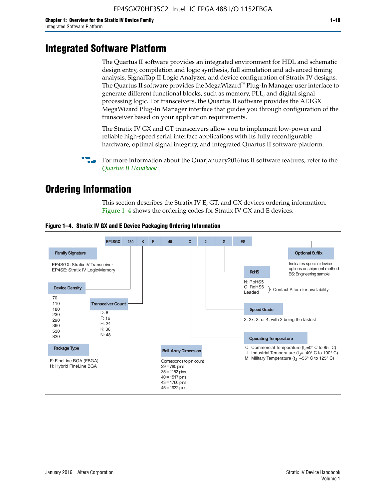# **Integrated Software Platform**

The Quartus II software provides an integrated environment for HDL and schematic design entry, compilation and logic synthesis, full simulation and advanced timing analysis, SignalTap II Logic Analyzer, and device configuration of Stratix IV designs. The Quartus II software provides the MegaWizard<sup> $M$ </sup> Plug-In Manager user interface to generate different functional blocks, such as memory, PLL, and digital signal processing logic. For transceivers, the Quartus II software provides the ALTGX MegaWizard Plug-In Manager interface that guides you through configuration of the transceiver based on your application requirements.

The Stratix IV GX and GT transceivers allow you to implement low-power and reliable high-speed serial interface applications with its fully reconfigurable hardware, optimal signal integrity, and integrated Quartus II software platform.

For more information about the QuarJanuary2016tus II software features, refer to the *[Quartus II Handbook](http://www.altera.com/literature/lit-qts.jsp)*.

# **Ordering Information**

This section describes the Stratix IV E, GT, and GX devices ordering information. Figure 1–4 shows the ordering codes for Stratix IV GX and E devices.



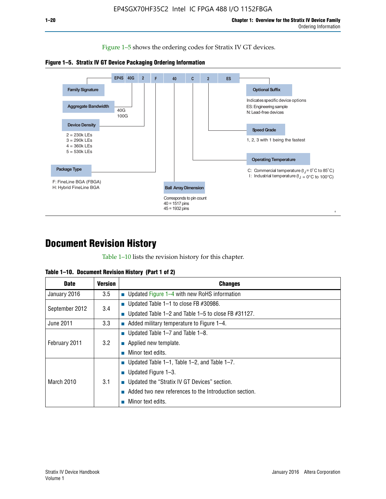Figure 1–5 shows the ordering codes for Stratix IV GT devices.





# **Document Revision History**

Table 1–10 lists the revision history for this chapter.

| Table 1–10. Document Revision History (Part 1 of 2) |  |  |  |  |  |
|-----------------------------------------------------|--|--|--|--|--|
|-----------------------------------------------------|--|--|--|--|--|

| <b>Date</b>       | <b>Version</b> | <b>Changes</b>                                              |
|-------------------|----------------|-------------------------------------------------------------|
| January 2016      | 3.5            | ■ Updated Figure 1–4 with new RoHS information              |
| September 2012    | 3.4            | ■ Updated Table 1–1 to close FB $#30986$ .                  |
|                   |                | Updated Table $1-2$ and Table $1-5$ to close FB $\#31127$ . |
| June 2011         | 3.3            | $\blacksquare$ Added military temperature to Figure 1–4.    |
|                   |                | ■ Updated Table 1–7 and Table 1–8.                          |
| February 2011     | 3.2            | $\blacksquare$ Applied new template.                        |
|                   |                | Minor text edits.                                           |
|                   |                | <b>Updated Table 1–1, Table 1–2, and Table 1–7.</b>         |
| <b>March 2010</b> |                | <b>U</b> Updated Figure 1–3.                                |
|                   | 3.1            | ■ Updated the "Stratix IV GT Devices" section.              |
|                   |                | Added two new references to the Introduction section.       |
|                   |                | Minor text edits.                                           |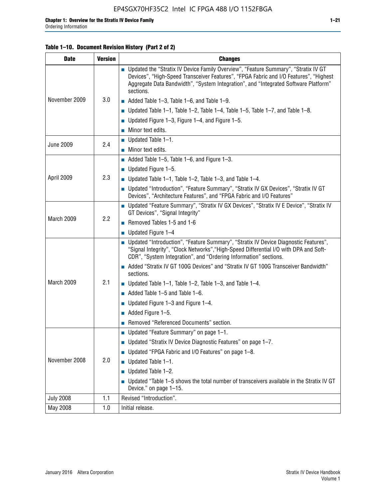### **Table 1–10. Document Revision History (Part 2 of 2)**

| <b>Date</b>      | <b>Version</b> | <b>Changes</b>                                                                                                                                                                                                                                                                    |  |  |
|------------------|----------------|-----------------------------------------------------------------------------------------------------------------------------------------------------------------------------------------------------------------------------------------------------------------------------------|--|--|
|                  |                | ■ Updated the "Stratix IV Device Family Overview", "Feature Summary", "Stratix IV GT<br>Devices", "High-Speed Transceiver Features", "FPGA Fabric and I/O Features", "Highest<br>Aggregate Data Bandwidth", "System Integration", and "Integrated Software Platform"<br>sections. |  |  |
| November 2009    | 3.0            | $\blacksquare$ Added Table 1-3, Table 1-6, and Table 1-9.                                                                                                                                                                                                                         |  |  |
|                  |                | $\blacksquare$ Updated Table 1-1, Table 1-2, Table 1-4, Table 1-5, Table 1-7, and Table 1-8.                                                                                                                                                                                      |  |  |
|                  |                | ■ Updated Figure 1–3, Figure 1–4, and Figure 1–5.                                                                                                                                                                                                                                 |  |  |
|                  |                | $\blacksquare$ Minor text edits.                                                                                                                                                                                                                                                  |  |  |
|                  | 2.4            | $\blacksquare$ Updated Table 1-1.                                                                                                                                                                                                                                                 |  |  |
| <b>June 2009</b> |                | Minor text edits.                                                                                                                                                                                                                                                                 |  |  |
|                  |                | $\blacksquare$ Added Table 1–5, Table 1–6, and Figure 1–3.                                                                                                                                                                                                                        |  |  |
|                  |                | $\blacksquare$ Updated Figure 1-5.                                                                                                                                                                                                                                                |  |  |
| April 2009       | 2.3            | Updated Table $1-1$ , Table $1-2$ , Table $1-3$ , and Table $1-4$ .                                                                                                                                                                                                               |  |  |
|                  |                | ■ Updated "Introduction", "Feature Summary", "Stratix IV GX Devices", "Stratix IV GT<br>Devices", "Architecture Features", and "FPGA Fabric and I/O Features"                                                                                                                     |  |  |
| March 2009       | 2.2            | ■ Updated "Feature Summary", "Stratix IV GX Devices", "Stratix IV E Device", "Stratix IV<br>GT Devices", "Signal Integrity"                                                                                                                                                       |  |  |
|                  |                | Removed Tables 1-5 and 1-6                                                                                                                                                                                                                                                        |  |  |
|                  |                | Updated Figure 1-4                                                                                                                                                                                                                                                                |  |  |
|                  |                | ■ Updated "Introduction", "Feature Summary", "Stratix IV Device Diagnostic Features",<br>"Signal Integrity", "Clock Networks", "High-Speed Differential I/O with DPA and Soft-<br>CDR", "System Integration", and "Ordering Information" sections.                                |  |  |
|                  |                | Added "Stratix IV GT 100G Devices" and "Stratix IV GT 100G Transceiver Bandwidth"<br>sections.                                                                                                                                                                                    |  |  |
| March 2009       | 2.1            | <b>Updated Table 1–1, Table 1–2, Table 1–3, and Table 1–4.</b>                                                                                                                                                                                                                    |  |  |
|                  |                | $\blacksquare$ Added Table 1-5 and Table 1-6.                                                                                                                                                                                                                                     |  |  |
|                  |                | ■ Updated Figure $1-3$ and Figure $1-4$ .                                                                                                                                                                                                                                         |  |  |
|                  |                | $\blacksquare$ Added Figure 1-5.                                                                                                                                                                                                                                                  |  |  |
|                  |                | Removed "Referenced Documents" section.                                                                                                                                                                                                                                           |  |  |
|                  | 2.0            | Updated "Feature Summary" on page 1-1.                                                                                                                                                                                                                                            |  |  |
|                  |                | ■ Updated "Stratix IV Device Diagnostic Features" on page 1-7.                                                                                                                                                                                                                    |  |  |
| November 2008    |                | Updated "FPGA Fabric and I/O Features" on page 1-8.                                                                                                                                                                                                                               |  |  |
|                  |                | $\blacksquare$ Updated Table 1-1.                                                                                                                                                                                                                                                 |  |  |
|                  |                | Updated Table 1-2.                                                                                                                                                                                                                                                                |  |  |
|                  |                | Updated "Table 1-5 shows the total number of transceivers available in the Stratix IV GT<br>Device." on page 1-15.                                                                                                                                                                |  |  |
| <b>July 2008</b> | 1.1            | Revised "Introduction".                                                                                                                                                                                                                                                           |  |  |
| May 2008         | 1.0            | Initial release.                                                                                                                                                                                                                                                                  |  |  |